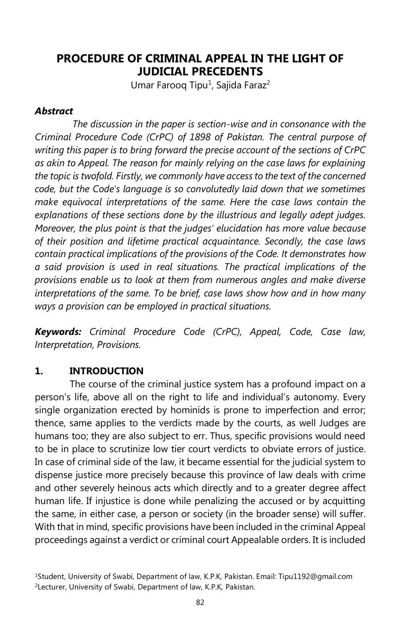# **PROCEDURE OF CRIMINAL APPEAL IN THE LIGHT OF JUDICIAL PRECEDENTS**

Umar Farooq Tipu<sup>1</sup>, Sajida Faraz<sup>2</sup>

### *Abstract*

*The discussion in the paper is section-wise and in consonance with the Criminal Procedure Code (CrPC) of 1898 of Pakistan. The central purpose of writing this paper is to bring forward the precise account of the sections of CrPC as akin to Appeal. The reason for mainly relying on the case laws for explaining the topic is twofold. Firstly, we commonly have access to the text of the concerned code, but the Code's language is so convolutedly laid down that we sometimes make equivocal interpretations of the same. Here the case laws contain the explanations of these sections done by the illustrious and legally adept judges. Moreover, the plus point is that the judges' elucidation has more value because of their position and lifetime practical acquaintance. Secondly, the case laws contain practical implications of the provisions of the Code. It demonstrates how a said provision is used in real situations. The practical implications of the provisions enable us to look at them from numerous angles and make diverse interpretations of the same. To be brief, case laws show how and in how many ways a provision can be employed in practical situations.*

*Keywords: Criminal Procedure Code (CrPC), Appeal, Code, Case law, Interpretation, Provisions.*

## **1. INTRODUCTION**

The course of the criminal justice system has a profound impact on a person's life, above all on the right to life and individual's autonomy. Every single organization erected by hominids is prone to imperfection and error; thence, same applies to the verdicts made by the courts, as well Judges are humans too; they are also subject to err. Thus, specific provisions would need to be in place to scrutinize low tier court verdicts to obviate errors of justice. In case of criminal side of the law, it became essential for the judicial system to dispense justice more precisely because this province of law deals with crime and other severely heinous acts which directly and to a greater degree affect human life. If injustice is done while penalizing the accused or by acquitting the same, in either case, a person or society (in the broader sense) will suffer. With that in mind, specific provisions have been included in the criminal Appeal proceedings against a verdict or criminal court Appealable orders. It is included

<sup>1</sup>Student, University of Swabi, Department of law, K.P.K, Pakistan. Email: Tipu1192@gmail.com <sup>2</sup>Lecturer, University of Swabi, Department of law, K.P.K, Pakistan.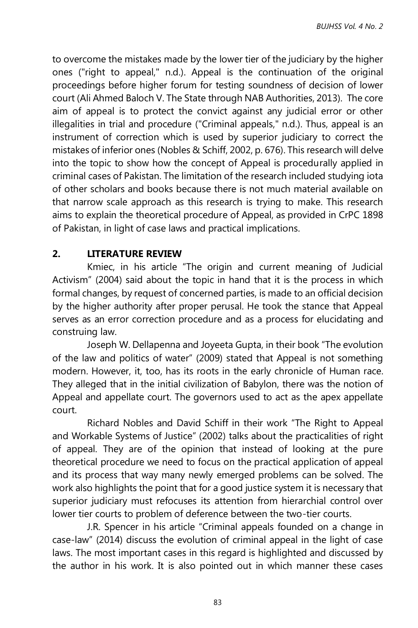to overcome the mistakes made by the lower tier of the judiciary by the higher ones ("right to appeal," n.d.). Appeal is the continuation of the original proceedings before higher forum for testing soundness of decision of lower court (Ali Ahmed Baloch V. The State through NAB Authorities, 2013). The core aim of appeal is to protect the convict against any judicial error or other illegalities in trial and procedure ("Criminal appeals," n.d.). Thus, appeal is an instrument of correction which is used by superior judiciary to correct the mistakes of inferior ones (Nobles & Schiff, 2002, p. 676). This research will delve into the topic to show how the concept of Appeal is procedurally applied in criminal cases of Pakistan. The limitation of the research included studying iota of other scholars and books because there is not much material available on that narrow scale approach as this research is trying to make. This research aims to explain the theoretical procedure of Appeal, as provided in CrPC 1898 of Pakistan, in light of case laws and practical implications.

## **2. LITERATURE REVIEW**

Kmiec, in his article "The origin and current meaning of Judicial Activism" (2004) said about the topic in hand that it is the process in which formal changes, by request of concerned parties, is made to an official decision by the higher authority after proper perusal. He took the stance that Appeal serves as an error correction procedure and as a process for elucidating and construing law.

Joseph W. Dellapenna and Joyeeta Gupta, in their book "The evolution of the law and politics of water" (2009) stated that Appeal is not something modern. However, it, too, has its roots in the early chronicle of Human race. They alleged that in the initial civilization of Babylon, there was the notion of Appeal and appellate court. The governors used to act as the apex appellate court.

Richard Nobles and David Schiff in their work "The Right to Appeal and Workable Systems of Justice" (2002) talks about the practicalities of right of appeal. They are of the opinion that instead of looking at the pure theoretical procedure we need to focus on the practical application of appeal and its process that way many newly emerged problems can be solved. The work also highlights the point that for a good justice system it is necessary that superior judiciary must refocuses its attention from hierarchial control over lower tier courts to problem of deference between the two-tier courts.

J.R. Spencer in his article "Criminal appeals founded on a change in case-law" (2014) discuss the evolution of criminal appeal in the light of case laws. The most important cases in this regard is highlighted and discussed by the author in his work. It is also pointed out in which manner these cases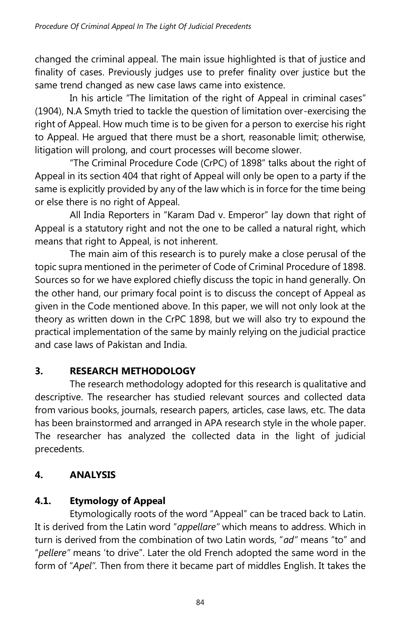changed the criminal appeal. The main issue highlighted is that of justice and finality of cases. Previously judges use to prefer finality over justice but the same trend changed as new case laws came into existence.

In his article "The limitation of the right of Appeal in criminal cases" (1904), N.A Smyth tried to tackle the question of limitation over-exercising the right of Appeal. How much time is to be given for a person to exercise his right to Appeal. He argued that there must be a short, reasonable limit; otherwise, litigation will prolong, and court processes will become slower.

"The Criminal Procedure Code (CrPC) of 1898" talks about the right of Appeal in its section 404 that right of Appeal will only be open to a party if the same is explicitly provided by any of the law which is in force for the time being or else there is no right of Appeal.

All India Reporters in "Karam Dad v. Emperor" lay down that right of Appeal is a statutory right and not the one to be called a natural right, which means that right to Appeal, is not inherent.

The main aim of this research is to purely make a close perusal of the topic supra mentioned in the perimeter of Code of Criminal Procedure of 1898. Sources so for we have explored chiefly discuss the topic in hand generally. On the other hand, our primary focal point is to discuss the concept of Appeal as given in the Code mentioned above. In this paper, we will not only look at the theory as written down in the CrPC 1898, but we will also try to expound the practical implementation of the same by mainly relying on the judicial practice and case laws of Pakistan and India.

# **3. RESEARCH METHODOLOGY**

The research methodology adopted for this research is qualitative and descriptive. The researcher has studied relevant sources and collected data from various books, journals, research papers, articles, case laws, etc. The data has been brainstormed and arranged in APA research style in the whole paper. The researcher has analyzed the collected data in the light of judicial precedents.

# **4. ANALYSIS**

# **4.1. Etymology of Appeal**

Etymologically roots of the word "Appeal" can be traced back to Latin. It is derived from the Latin word "*appellare"* which means to address. Which in turn is derived from the combination of two Latin words, "*ad"* means "to" and "*pellere"* means 'to drive". Later the old French adopted the same word in the form of "*Apel".* Then from there it became part of middles English. It takes the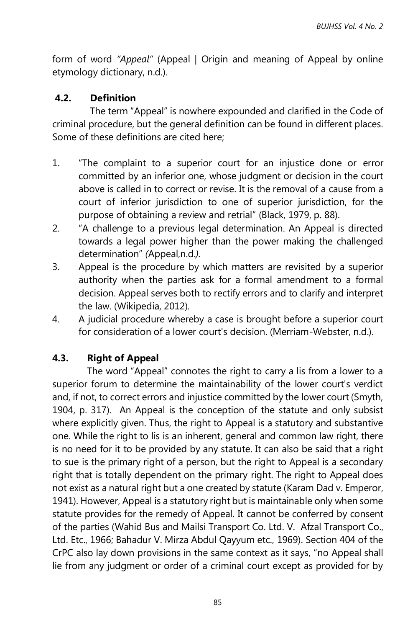form of word *"Appeal"* (Appeal | Origin and meaning of Appeal by online etymology dictionary, n.d.).

### **4.2. Definition**

 The term "Appeal" is nowhere expounded and clarified in the Code of criminal procedure, but the general definition can be found in different places. Some of these definitions are cited here;

- 1. "The complaint to a superior court for an injustice done or error committed by an inferior one, whose judgment or decision in the court above is called in to correct or revise. It is the removal of a cause from a court of inferior jurisdiction to one of superior jurisdiction, for the purpose of obtaining a review and retrial" (Black, 1979, p. 88).
- 2. "A challenge to a previous legal determination. An Appeal is directed towards a legal power higher than the power making the challenged determination" *(*Appeal,n.d.*).*
- 3. Appeal is the procedure by which matters are revisited by a superior authority when the parties ask for a formal amendment to a formal decision. Appeal serves both to rectify errors and to clarify and interpret the law. (Wikipedia, 2012)*.*
- 4. A judicial procedure whereby a case is brought before a superior court for consideration of a lower court's decision. (Merriam-Webster, n.d.).

## **4.3. Right of Appeal**

The word "Appeal" connotes the right to carry a lis from a lower to a superior forum to determine the maintainability of the lower court's verdict and, if not, to correct errors and injustice committed by the lower court (Smyth, 1904, p. 317). An Appeal is the conception of the statute and only subsist where explicitly given. Thus, the right to Appeal is a statutory and substantive one. While the right to lis is an inherent, general and common law right, there is no need for it to be provided by any statute. It can also be said that a right to sue is the primary right of a person, but the right to Appeal is a secondary right that is totally dependent on the primary right. The right to Appeal does not exist as a natural right but a one created by statute (Karam Dad v. Emperor, 1941). However, Appeal is a statutory right but is maintainable only when some statute provides for the remedy of Appeal. It cannot be conferred by consent of the parties (Wahid Bus and Mailsi Transport Co. Ltd. V. Afzal Transport Co., Ltd. Etc., 1966; Bahadur V. Mirza Abdul Qayyum etc., 1969). Section 404 of the CrPC also lay down provisions in the same context as it says, "no Appeal shall lie from any judgment or order of a criminal court except as provided for by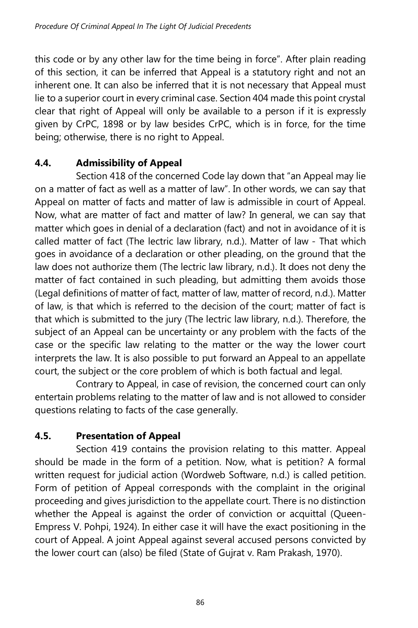this code or by any other law for the time being in force". After plain reading of this section, it can be inferred that Appeal is a statutory right and not an inherent one. It can also be inferred that it is not necessary that Appeal must lie to a superior court in every criminal case. Section 404 made this point crystal clear that right of Appeal will only be available to a person if it is expressly given by CrPC, 1898 or by law besides CrPC, which is in force, for the time being; otherwise, there is no right to Appeal.

# **4.4. Admissibility of Appeal**

Section 418 of the concerned Code lay down that "an Appeal may lie on a matter of fact as well as a matter of law". In other words, we can say that Appeal on matter of facts and matter of law is admissible in court of Appeal. Now, what are matter of fact and matter of law? In general, we can say that matter which goes in denial of a declaration (fact) and not in avoidance of it is called matter of fact (The lectric law library, n.d.). Matter of law - That which goes in avoidance of a declaration or other pleading, on the ground that the law does not authorize them (The lectric law library, n.d.). It does not deny the matter of fact contained in such pleading, but admitting them avoids those (Legal definitions of matter of fact, matter of law, matter of record, n.d.). Matter of law, is that which is referred to the decision of the court; matter of fact is that which is submitted to the jury (The lectric law library, n.d.). Therefore, the subject of an Appeal can be uncertainty or any problem with the facts of the case or the specific law relating to the matter or the way the lower court interprets the law. It is also possible to put forward an Appeal to an appellate court, the subject or the core problem of which is both factual and legal.

Contrary to Appeal, in case of revision, the concerned court can only entertain problems relating to the matter of law and is not allowed to consider questions relating to facts of the case generally.

# **4.5. Presentation of Appeal**

Section 419 contains the provision relating to this matter. Appeal should be made in the form of a petition. Now, what is petition? A formal written request for judicial action (Wordweb Software, n.d.) is called petition. Form of petition of Appeal corresponds with the complaint in the original proceeding and gives jurisdiction to the appellate court. There is no distinction whether the Appeal is against the order of conviction or acquittal (Queen-Empress V. Pohpi, 1924). In either case it will have the exact positioning in the court of Appeal. A joint Appeal against several accused persons convicted by the lower court can (also) be filed (State of Gujrat v. Ram Prakash, 1970).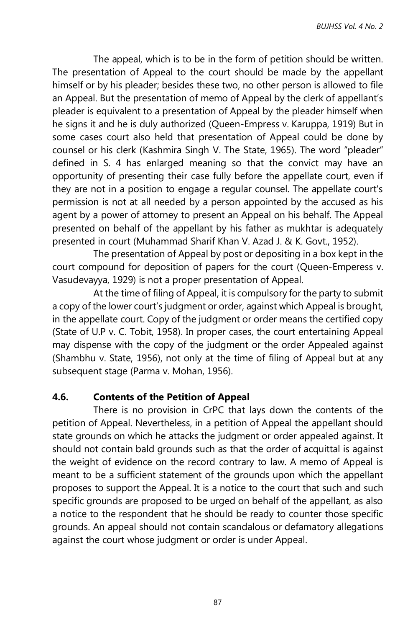The appeal, which is to be in the form of petition should be written. The presentation of Appeal to the court should be made by the appellant himself or by his pleader; besides these two, no other person is allowed to file an Appeal. But the presentation of memo of Appeal by the clerk of appellant's pleader is equivalent to a presentation of Appeal by the pleader himself when he signs it and he is duly authorized (Queen-Empress v. Karuppa, 1919) But in some cases court also held that presentation of Appeal could be done by counsel or his clerk (Kashmira Singh V. The State, 1965). The word "pleader" defined in S. 4 has enlarged meaning so that the convict may have an opportunity of presenting their case fully before the appellate court, even if they are not in a position to engage a regular counsel. The appellate court's permission is not at all needed by a person appointed by the accused as his agent by a power of attorney to present an Appeal on his behalf. The Appeal presented on behalf of the appellant by his father as mukhtar is adequately presented in court (Muhammad Sharif Khan V. Azad J. & K. Govt., 1952).

The presentation of Appeal by post or depositing in a box kept in the court compound for deposition of papers for the court (Queen-Emperess v. Vasudevayya, 1929) is not a proper presentation of Appeal.

At the time of filing of Appeal, it is compulsory for the party to submit a copy of the lower court's judgment or order, against which Appeal is brought, in the appellate court. Copy of the judgment or order means the certified copy (State of U.P v. C. Tobit, 1958). In proper cases, the court entertaining Appeal may dispense with the copy of the judgment or the order Appealed against (Shambhu v. State, 1956), not only at the time of filing of Appeal but at any subsequent stage (Parma v. Mohan, 1956).

#### **4.6. Contents of the Petition of Appeal**

There is no provision in CrPC that lays down the contents of the petition of Appeal. Nevertheless, in a petition of Appeal the appellant should state grounds on which he attacks the judgment or order appealed against. It should not contain bald grounds such as that the order of acquittal is against the weight of evidence on the record contrary to law. A memo of Appeal is meant to be a sufficient statement of the grounds upon which the appellant proposes to support the Appeal. It is a notice to the court that such and such specific grounds are proposed to be urged on behalf of the appellant, as also a notice to the respondent that he should be ready to counter those specific grounds. An appeal should not contain scandalous or defamatory allegations against the court whose judgment or order is under Appeal.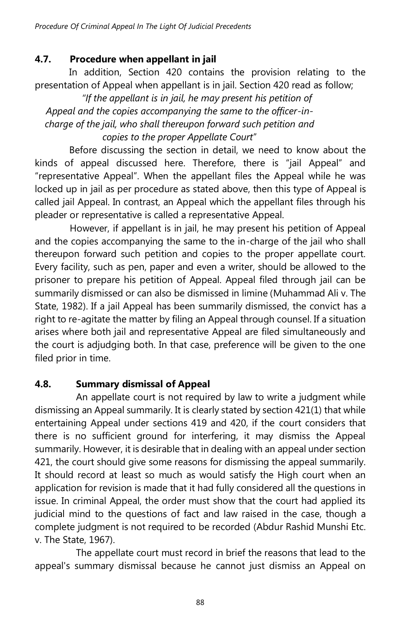## **4.7. Procedure when appellant in jail**

In addition, Section 420 contains the provision relating to the presentation of Appeal when appellant is in jail. Section 420 read as follow;

*"If the appellant is in jail, he may present his petition of Appeal and the copies accompanying the same to the officer-incharge of the jail, who shall thereupon forward such petition and copies to the proper Appellate Court*"

Before discussing the section in detail, we need to know about the kinds of appeal discussed here. Therefore, there is "jail Appeal" and "representative Appeal". When the appellant files the Appeal while he was locked up in jail as per procedure as stated above, then this type of Appeal is called jail Appeal. In contrast, an Appeal which the appellant files through his pleader or representative is called a representative Appeal.

However, if appellant is in jail, he may present his petition of Appeal and the copies accompanying the same to the in-charge of the jail who shall thereupon forward such petition and copies to the proper appellate court. Every facility, such as pen, paper and even a writer, should be allowed to the prisoner to prepare his petition of Appeal. Appeal filed through jail can be summarily dismissed or can also be dismissed in limine (Muhammad Ali v. The State, 1982). If a jail Appeal has been summarily dismissed, the convict has a right to re-agitate the matter by filing an Appeal through counsel. If a situation arises where both jail and representative Appeal are filed simultaneously and the court is adjudging both. In that case, preference will be given to the one filed prior in time.

## **4.8. Summary dismissal of Appeal**

An appellate court is not required by law to write a judgment while dismissing an Appeal summarily. It is clearly stated by section 421(1) that while entertaining Appeal under sections 419 and 420, if the court considers that there is no sufficient ground for interfering, it may dismiss the Appeal summarily. However, it is desirable that in dealing with an appeal under section 421, the court should give some reasons for dismissing the appeal summarily. It should record at least so much as would satisfy the High court when an application for revision is made that it had fully considered all the questions in issue. In criminal Appeal, the order must show that the court had applied its judicial mind to the questions of fact and law raised in the case, though a complete judgment is not required to be recorded (Abdur Rashid Munshi Etc. v. The State, 1967).

The appellate court must record in brief the reasons that lead to the appeal's summary dismissal because he cannot just dismiss an Appeal on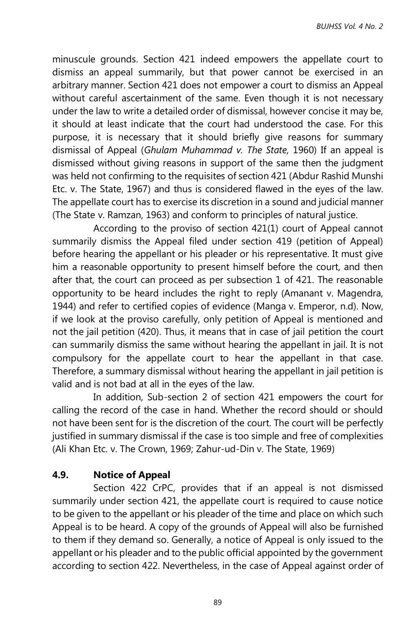minuscule grounds. Section 421 indeed empowers the appellate court to dismiss an appeal summarily, but that power cannot be exercised in an arbitrary manner. Section 421 does not empower a court to dismiss an Appeal without careful ascertainment of the same. Even though it is not necessary under the law to write a detailed order of dismissal, however concise it may be, it should at least indicate that the court had understood the case. For this purpose, it is necessary that it should briefly give reasons for summary dismissal of Appeal (*Ghulam Muhammad v. The State,* 1960) If an appeal is dismissed without giving reasons in support of the same then the judgment was held not confirming to the requisites of section 421 (Abdur Rashid Munshi Etc. v. The State, 1967) and thus is considered flawed in the eyes of the law. The appellate court has to exercise its discretion in a sound and judicial manner (The State v. Ramzan, 1963) and conform to principles of natural justice.

According to the proviso of section 421(1) court of Appeal cannot summarily dismiss the Appeal filed under section 419 (petition of Appeal) before hearing the appellant or his pleader or his representative. It must give him a reasonable opportunity to present himself before the court, and then after that, the court can proceed as per subsection 1 of 421. The reasonable opportunity to be heard includes the right to reply (Amanant v. Magendra, 1944) and refer to certified copies of evidence (Manga v. Emperor, n.d). Now, if we look at the proviso carefully, only petition of Appeal is mentioned and not the jail petition (420). Thus, it means that in case of jail petition the court can summarily dismiss the same without hearing the appellant in jail. It is not compulsory for the appellate court to hear the appellant in that case. Therefore, a summary dismissal without hearing the appellant in jail petition is valid and is not bad at all in the eyes of the law.

In addition, Sub-section 2 of section 421 empowers the court for calling the record of the case in hand. Whether the record should or should not have been sent for is the discretion of the court. The court will be perfectly justified in summary dismissal if the case is too simple and free of complexities (Ali Khan Etc. v. The Crown, 1969; Zahur-ud-Din v. The State, 1969)

## **4.9. Notice of Appeal**

Section 422 CrPC, provides that if an appeal is not dismissed summarily under section 421, the appellate court is required to cause notice to be given to the appellant or his pleader of the time and place on which such Appeal is to be heard. A copy of the grounds of Appeal will also be furnished to them if they demand so. Generally, a notice of Appeal is only issued to the appellant or his pleader and to the public official appointed by the government according to section 422. Nevertheless, in the case of Appeal against order of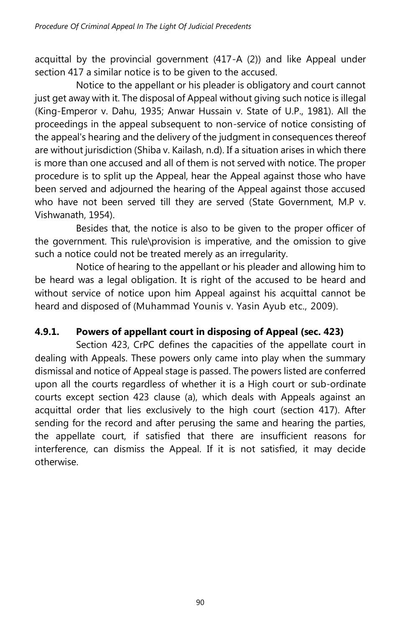acquittal by the provincial government (417-A (2)) and like Appeal under section 417 a similar notice is to be given to the accused.

Notice to the appellant or his pleader is obligatory and court cannot just get away with it. The disposal of Appeal without giving such notice is illegal (King-Emperor v. Dahu, 1935; Anwar Hussain v. State of U.P., 1981). All the proceedings in the appeal subsequent to non-service of notice consisting of the appeal's hearing and the delivery of the judgment in consequences thereof are without jurisdiction (Shiba v. Kailash, n.d). If a situation arises in which there is more than one accused and all of them is not served with notice. The proper procedure is to split up the Appeal, hear the Appeal against those who have been served and adjourned the hearing of the Appeal against those accused who have not been served till they are served (State Government, M.P v. Vishwanath, 1954).

Besides that, the notice is also to be given to the proper officer of the government. This rule\provision is imperative, and the omission to give such a notice could not be treated merely as an irregularity.

Notice of hearing to the appellant or his pleader and allowing him to be heard was a legal obligation. It is right of the accused to be heard and without service of notice upon him Appeal against his acquittal cannot be heard and disposed of (Muhammad Younis v. Yasin Ayub etc., 2009).

# **4.9.1. Powers of appellant court in disposing of Appeal (sec. 423)**

Section 423, CrPC defines the capacities of the appellate court in dealing with Appeals. These powers only came into play when the summary dismissal and notice of Appeal stage is passed. The powers listed are conferred upon all the courts regardless of whether it is a High court or sub-ordinate courts except section 423 clause (a), which deals with Appeals against an acquittal order that lies exclusively to the high court (section 417). After sending for the record and after perusing the same and hearing the parties, the appellate court, if satisfied that there are insufficient reasons for interference, can dismiss the Appeal. If it is not satisfied, it may decide otherwise.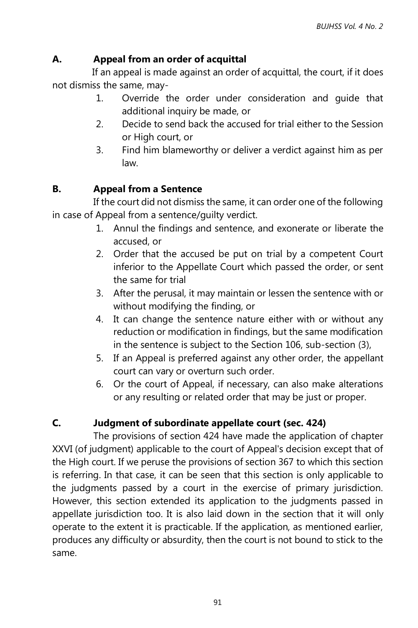## **A. Appeal from an order of acquittal**

 If an appeal is made against an order of acquittal, the court, if it does not dismiss the same, may-

- 1. Override the order under consideration and guide that additional inquiry be made, or
- 2. Decide to send back the accused for trial either to the Session or High court, or
- 3. Find him blameworthy or deliver a verdict against him as per law.

## **B. Appeal from a Sentence**

If the court did not dismiss the same, it can order one of the following in case of Appeal from a sentence/guilty verdict.

- 1. Annul the findings and sentence, and exonerate or liberate the accused, or
- 2. Order that the accused be put on trial by a competent Court inferior to the Appellate Court which passed the order, or sent the same for trial
- 3. After the perusal, it may maintain or lessen the sentence with or without modifying the finding, or
- 4. It can change the sentence nature either with or without any reduction or modification in findings, but the same modification in the sentence is subject to the Section 106, sub-section (3),
- 5. If an Appeal is preferred against any other order, the appellant court can vary or overturn such order.
- 6. Or the court of Appeal, if necessary, can also make alterations or any resulting or related order that may be just or proper.

## **C. Judgment of subordinate appellate court (sec. 424)**

The provisions of section 424 have made the application of chapter XXVI (of judgment) applicable to the court of Appeal's decision except that of the High court. If we peruse the provisions of section 367 to which this section is referring. In that case, it can be seen that this section is only applicable to the judgments passed by a court in the exercise of primary jurisdiction. However, this section extended its application to the judgments passed in appellate jurisdiction too. It is also laid down in the section that it will only operate to the extent it is practicable. If the application, as mentioned earlier, produces any difficulty or absurdity, then the court is not bound to stick to the same.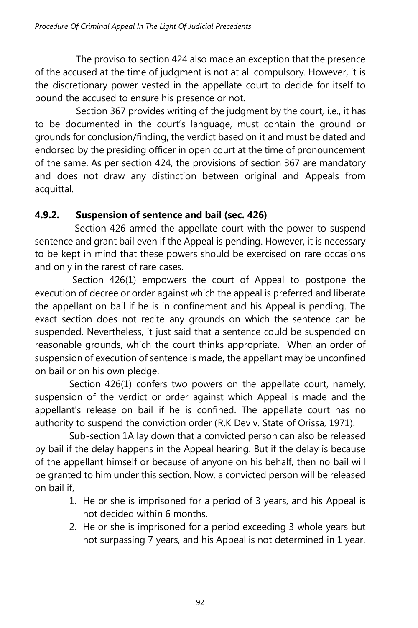The proviso to section 424 also made an exception that the presence of the accused at the time of judgment is not at all compulsory. However, it is the discretionary power vested in the appellate court to decide for itself to bound the accused to ensure his presence or not.

Section 367 provides writing of the judgment by the court, i.e., it has to be documented in the court's language, must contain the ground or grounds for conclusion/finding, the verdict based on it and must be dated and endorsed by the presiding officer in open court at the time of pronouncement of the same. As per section 424, the provisions of section 367 are mandatory and does not draw any distinction between original and Appeals from acquittal.

## **4.9.2. Suspension of sentence and bail (sec. 426)**

 Section 426 armed the appellate court with the power to suspend sentence and grant bail even if the Appeal is pending. However, it is necessary to be kept in mind that these powers should be exercised on rare occasions and only in the rarest of rare cases.

 Section 426(1) empowers the court of Appeal to postpone the execution of decree or order against which the appeal is preferred and liberate the appellant on bail if he is in confinement and his Appeal is pending. The exact section does not recite any grounds on which the sentence can be suspended. Nevertheless, it just said that a sentence could be suspended on reasonable grounds, which the court thinks appropriate. When an order of suspension of execution of sentence is made, the appellant may be unconfined on bail or on his own pledge.

Section 426(1) confers two powers on the appellate court, namely, suspension of the verdict or order against which Appeal is made and the appellant's release on bail if he is confined. The appellate court has no authority to suspend the conviction order (R.K Dev v. State of Orissa, 1971).

Sub-section 1A lay down that a convicted person can also be released by bail if the delay happens in the Appeal hearing. But if the delay is because of the appellant himself or because of anyone on his behalf, then no bail will be granted to him under this section. Now, a convicted person will be released on bail if,

- 1. He or she is imprisoned for a period of 3 years, and his Appeal is not decided within 6 months.
- 2. He or she is imprisoned for a period exceeding 3 whole years but not surpassing 7 years, and his Appeal is not determined in 1 year.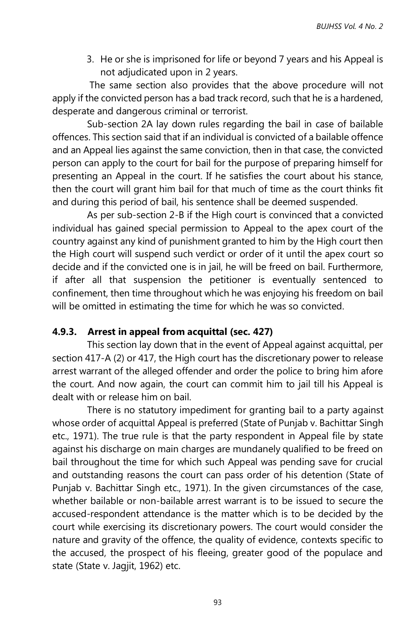3. He or she is imprisoned for life or beyond 7 years and his Appeal is not adjudicated upon in 2 years.

The same section also provides that the above procedure will not apply if the convicted person has a bad track record, such that he is a hardened, desperate and dangerous criminal or terrorist.

Sub-section 2A lay down rules regarding the bail in case of bailable offences. This section said that if an individual is convicted of a bailable offence and an Appeal lies against the same conviction, then in that case, the convicted person can apply to the court for bail for the purpose of preparing himself for presenting an Appeal in the court. If he satisfies the court about his stance, then the court will grant him bail for that much of time as the court thinks fit and during this period of bail, his sentence shall be deemed suspended.

As per sub-section 2-B if the High court is convinced that a convicted individual has gained special permission to Appeal to the apex court of the country against any kind of punishment granted to him by the High court then the High court will suspend such verdict or order of it until the apex court so decide and if the convicted one is in jail, he will be freed on bail. Furthermore, if after all that suspension the petitioner is eventually sentenced to confinement, then time throughout which he was enjoying his freedom on bail will be omitted in estimating the time for which he was so convicted.

#### **4.9.3. Arrest in appeal from acquittal (sec. 427)**

This section lay down that in the event of Appeal against acquittal, per section 417-A (2) or 417, the High court has the discretionary power to release arrest warrant of the alleged offender and order the police to bring him afore the court. And now again, the court can commit him to jail till his Appeal is dealt with or release him on bail.

There is no statutory impediment for granting bail to a party against whose order of acquittal Appeal is preferred (State of Punjab v. Bachittar Singh etc., 1971). The true rule is that the party respondent in Appeal file by state against his discharge on main charges are mundanely qualified to be freed on bail throughout the time for which such Appeal was pending save for crucial and outstanding reasons the court can pass order of his detention (State of Punjab v. Bachittar Singh etc., 1971). In the given circumstances of the case, whether bailable or non-bailable arrest warrant is to be issued to secure the accused-respondent attendance is the matter which is to be decided by the court while exercising its discretionary powers. The court would consider the nature and gravity of the offence, the quality of evidence, contexts specific to the accused, the prospect of his fleeing, greater good of the populace and state (State v. Jagjit, 1962) etc.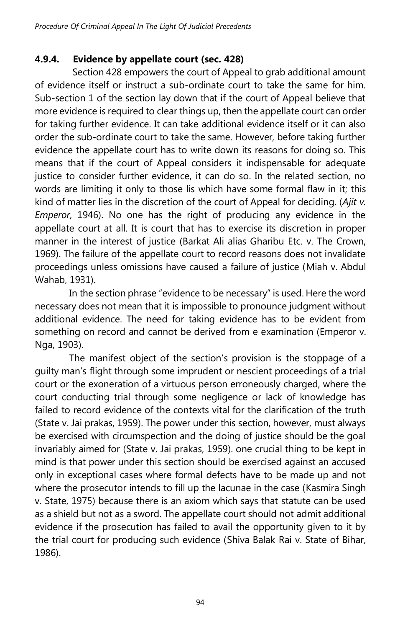## **4.9.4. Evidence by appellate court (sec. 428)**

Section 428 empowers the court of Appeal to grab additional amount of evidence itself or instruct a sub-ordinate court to take the same for him. Sub-section 1 of the section lay down that if the court of Appeal believe that more evidence is required to clear things up, then the appellate court can order for taking further evidence. It can take additional evidence itself or it can also order the sub-ordinate court to take the same. However, before taking further evidence the appellate court has to write down its reasons for doing so. This means that if the court of Appeal considers it indispensable for adequate justice to consider further evidence, it can do so. In the related section, no words are limiting it only to those lis which have some formal flaw in it; this kind of matter lies in the discretion of the court of Appeal for deciding. (*Ajit v. Emperor,* 1946). No one has the right of producing any evidence in the appellate court at all. It is court that has to exercise its discretion in proper manner in the interest of justice (Barkat Ali alias Gharibu Etc. v. The Crown, 1969). The failure of the appellate court to record reasons does not invalidate proceedings unless omissions have caused a failure of justice (Miah v. Abdul Wahab, 1931).

In the section phrase "evidence to be necessary" is used. Here the word necessary does not mean that it is impossible to pronounce judgment without additional evidence. The need for taking evidence has to be evident from something on record and cannot be derived from e examination (Emperor v. Nga, 1903).

The manifest object of the section's provision is the stoppage of a guilty man's flight through some imprudent or nescient proceedings of a trial court or the exoneration of a virtuous person erroneously charged, where the court conducting trial through some negligence or lack of knowledge has failed to record evidence of the contexts vital for the clarification of the truth (State v. Jai prakas, 1959). The power under this section, however, must always be exercised with circumspection and the doing of justice should be the goal invariably aimed for (State v. Jai prakas, 1959). one crucial thing to be kept in mind is that power under this section should be exercised against an accused only in exceptional cases where formal defects have to be made up and not where the prosecutor intends to fill up the lacunae in the case (Kasmira Singh v. State, 1975) because there is an axiom which says that statute can be used as a shield but not as a sword. The appellate court should not admit additional evidence if the prosecution has failed to avail the opportunity given to it by the trial court for producing such evidence (Shiva Balak Rai v. State of Bihar, 1986).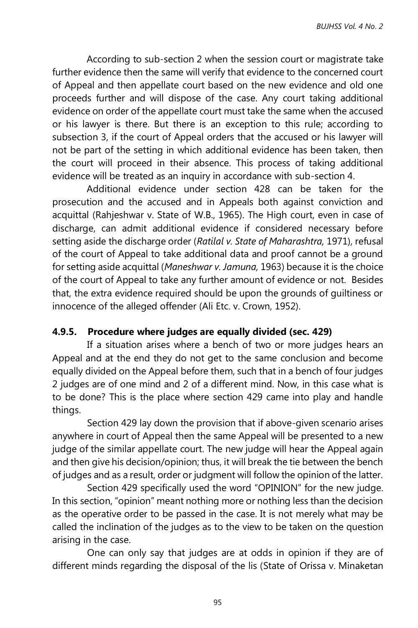According to sub-section 2 when the session court or magistrate take further evidence then the same will verify that evidence to the concerned court of Appeal and then appellate court based on the new evidence and old one proceeds further and will dispose of the case. Any court taking additional evidence on order of the appellate court must take the same when the accused or his lawyer is there. But there is an exception to this rule; according to subsection 3, if the court of Appeal orders that the accused or his lawyer will not be part of the setting in which additional evidence has been taken, then the court will proceed in their absence. This process of taking additional evidence will be treated as an inquiry in accordance with sub-section 4.

Additional evidence under section 428 can be taken for the prosecution and the accused and in Appeals both against conviction and acquittal (Rahjeshwar v. State of W.B., 1965). The High court, even in case of discharge, can admit additional evidence if considered necessary before setting aside the discharge order (*Ratilal v. State of Maharashtra,* 1971), refusal of the court of Appeal to take additional data and proof cannot be a ground for setting aside acquittal (*Maneshwar v. Jamuna,* 1963) because it is the choice of the court of Appeal to take any further amount of evidence or not. Besides that, the extra evidence required should be upon the grounds of guiltiness or innocence of the alleged offender (Ali Etc. v. Crown, 1952).

#### **4.9.5. Procedure where judges are equally divided (sec. 429)**

If a situation arises where a bench of two or more judges hears an Appeal and at the end they do not get to the same conclusion and become equally divided on the Appeal before them, such that in a bench of four judges 2 judges are of one mind and 2 of a different mind. Now, in this case what is to be done? This is the place where section 429 came into play and handle things.

Section 429 lay down the provision that if above-given scenario arises anywhere in court of Appeal then the same Appeal will be presented to a new judge of the similar appellate court. The new judge will hear the Appeal again and then give his decision/opinion; thus, it will break the tie between the bench of judges and as a result, order or judgment will follow the opinion of the latter.

Section 429 specifically used the word "OPINION" for the new judge. In this section, "opinion" meant nothing more or nothing less than the decision as the operative order to be passed in the case. It is not merely what may be called the inclination of the judges as to the view to be taken on the question arising in the case.

One can only say that judges are at odds in opinion if they are of different minds regarding the disposal of the lis (State of Orissa v. Minaketan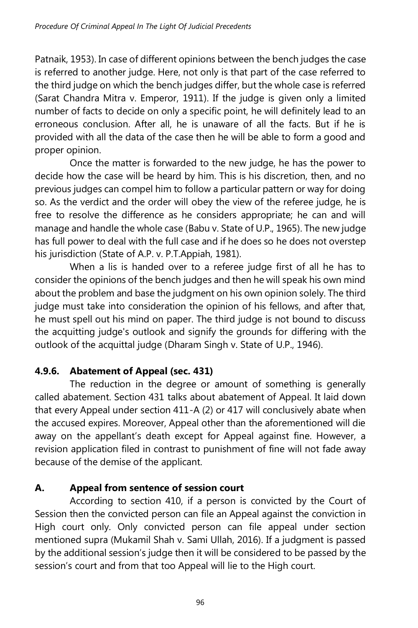Patnaik, 1953). In case of different opinions between the bench judges the case is referred to another judge. Here, not only is that part of the case referred to the third judge on which the bench judges differ, but the whole case is referred (Sarat Chandra Mitra v. Emperor, 1911). If the judge is given only a limited number of facts to decide on only a specific point, he will definitely lead to an erroneous conclusion. After all, he is unaware of all the facts. But if he is provided with all the data of the case then he will be able to form a good and proper opinion.

Once the matter is forwarded to the new judge, he has the power to decide how the case will be heard by him. This is his discretion, then, and no previous judges can compel him to follow a particular pattern or way for doing so. As the verdict and the order will obey the view of the referee judge, he is free to resolve the difference as he considers appropriate; he can and will manage and handle the whole case (Babu v. State of U.P., 1965). The new judge has full power to deal with the full case and if he does so he does not overstep his jurisdiction (State of A.P. v. P.T.Appiah, 1981).

When a lis is handed over to a referee judge first of all he has to consider the opinions of the bench judges and then he will speak his own mind about the problem and base the judgment on his own opinion solely. The third judge must take into consideration the opinion of his fellows, and after that, he must spell out his mind on paper. The third judge is not bound to discuss the acquitting judge's outlook and signify the grounds for differing with the outlook of the acquittal judge (Dharam Singh v. State of U.P., 1946).

# **4.9.6. Abatement of Appeal (sec. 431)**

The reduction in the degree or amount of something is generally called abatement. Section 431 talks about abatement of Appeal. It laid down that every Appeal under section 411-A (2) or 417 will conclusively abate when the accused expires. Moreover, Appeal other than the aforementioned will die away on the appellant's death except for Appeal against fine. However, a revision application filed in contrast to punishment of fine will not fade away because of the demise of the applicant.

# **A. Appeal from sentence of session court**

According to section 410, if a person is convicted by the Court of Session then the convicted person can file an Appeal against the conviction in High court only. Only convicted person can file appeal under section mentioned supra (Mukamil Shah v. Sami Ullah, 2016). If a judgment is passed by the additional session's judge then it will be considered to be passed by the session's court and from that too Appeal will lie to the High court.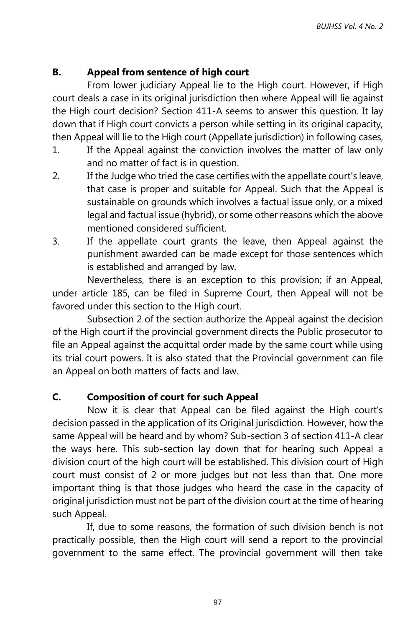## **B. Appeal from sentence of high court**

From lower judiciary Appeal lie to the High court. However, if High court deals a case in its original jurisdiction then where Appeal will lie against the High court decision? Section 411-A seems to answer this question. It lay down that if High court convicts a person while setting in its original capacity, then Appeal will lie to the High court (Appellate jurisdiction) in following cases,

- 1. If the Appeal against the conviction involves the matter of law only and no matter of fact is in question.
- 2. If the Judge who tried the case certifies with the appellate court's leave, that case is proper and suitable for Appeal. Such that the Appeal is sustainable on grounds which involves a factual issue only, or a mixed legal and factual issue (hybrid), or some other reasons which the above mentioned considered sufficient.
- 3. If the appellate court grants the leave, then Appeal against the punishment awarded can be made except for those sentences which is established and arranged by law.

Nevertheless, there is an exception to this provision; if an Appeal, under article 185, can be filed in Supreme Court, then Appeal will not be favored under this section to the High court.

Subsection 2 of the section authorize the Appeal against the decision of the High court if the provincial government directs the Public prosecutor to file an Appeal against the acquittal order made by the same court while using its trial court powers. It is also stated that the Provincial government can file an Appeal on both matters of facts and law.

## **C. Composition of court for such Appeal**

Now it is clear that Appeal can be filed against the High court's decision passed in the application of its Original jurisdiction. However, how the same Appeal will be heard and by whom? Sub-section 3 of section 411-A clear the ways here. This sub-section lay down that for hearing such Appeal a division court of the high court will be established. This division court of High court must consist of 2 or more judges but not less than that. One more important thing is that those judges who heard the case in the capacity of original jurisdiction must not be part of the division court at the time of hearing such Appeal.

If, due to some reasons, the formation of such division bench is not practically possible, then the High court will send a report to the provincial government to the same effect. The provincial government will then take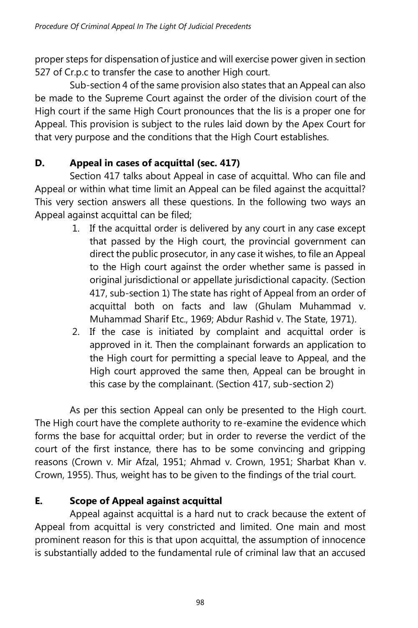proper steps for dispensation of justice and will exercise power given in section 527 of Cr.p.c to transfer the case to another High court.

Sub-section 4 of the same provision also states that an Appeal can also be made to the Supreme Court against the order of the division court of the High court if the same High Court pronounces that the lis is a proper one for Appeal. This provision is subject to the rules laid down by the Apex Court for that very purpose and the conditions that the High Court establishes.

# **D. Appeal in cases of acquittal (sec. 417)**

Section 417 talks about Appeal in case of acquittal. Who can file and Appeal or within what time limit an Appeal can be filed against the acquittal? This very section answers all these questions. In the following two ways an Appeal against acquittal can be filed;

- 1. If the acquittal order is delivered by any court in any case except that passed by the High court, the provincial government can direct the public prosecutor, in any case it wishes, to file an Appeal to the High court against the order whether same is passed in original jurisdictional or appellate jurisdictional capacity. (Section 417, sub-section 1) The state has right of Appeal from an order of acquittal both on facts and law (Ghulam Muhammad v. Muhammad Sharif Etc., 1969; Abdur Rashid v. The State, 1971).
- 2. If the case is initiated by complaint and acquittal order is approved in it. Then the complainant forwards an application to the High court for permitting a special leave to Appeal, and the High court approved the same then, Appeal can be brought in this case by the complainant. (Section 417, sub-section 2)

As per this section Appeal can only be presented to the High court. The High court have the complete authority to re-examine the evidence which forms the base for acquittal order; but in order to reverse the verdict of the court of the first instance, there has to be some convincing and gripping reasons (Crown v. Mir Afzal, 1951; Ahmad v. Crown, 1951; Sharbat Khan v. Crown, 1955). Thus, weight has to be given to the findings of the trial court.

# **E. Scope of Appeal against acquittal**

Appeal against acquittal is a hard nut to crack because the extent of Appeal from acquittal is very constricted and limited. One main and most prominent reason for this is that upon acquittal, the assumption of innocence is substantially added to the fundamental rule of criminal law that an accused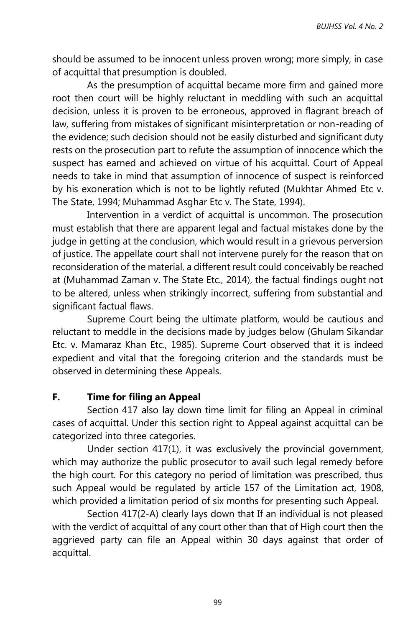should be assumed to be innocent unless proven wrong; more simply, in case of acquittal that presumption is doubled.

As the presumption of acquittal became more firm and gained more root then court will be highly reluctant in meddling with such an acquittal decision, unless it is proven to be erroneous, approved in flagrant breach of law, suffering from mistakes of significant misinterpretation or non-reading of the evidence; such decision should not be easily disturbed and significant duty rests on the prosecution part to refute the assumption of innocence which the suspect has earned and achieved on virtue of his acquittal. Court of Appeal needs to take in mind that assumption of innocence of suspect is reinforced by his exoneration which is not to be lightly refuted (Mukhtar Ahmed Etc v. The State, 1994; Muhammad Asghar Etc v. The State, 1994).

Intervention in a verdict of acquittal is uncommon. The prosecution must establish that there are apparent legal and factual mistakes done by the judge in getting at the conclusion, which would result in a grievous perversion of justice. The appellate court shall not intervene purely for the reason that on reconsideration of the material, a different result could conceivably be reached at (Muhammad Zaman v. The State Etc., 2014), the factual findings ought not to be altered, unless when strikingly incorrect, suffering from substantial and significant factual flaws.

Supreme Court being the ultimate platform, would be cautious and reluctant to meddle in the decisions made by judges below (Ghulam Sikandar Etc. v. Mamaraz Khan Etc., 1985). Supreme Court observed that it is indeed expedient and vital that the foregoing criterion and the standards must be observed in determining these Appeals.

#### **F. Time for filing an Appeal**

Section 417 also lay down time limit for filing an Appeal in criminal cases of acquittal. Under this section right to Appeal against acquittal can be categorized into three categories.

Under section 417(1), it was exclusively the provincial government, which may authorize the public prosecutor to avail such legal remedy before the high court. For this category no period of limitation was prescribed, thus such Appeal would be regulated by article 157 of the Limitation act, 1908, which provided a limitation period of six months for presenting such Appeal.

Section 417(2-A) clearly lays down that If an individual is not pleased with the verdict of acquittal of any court other than that of High court then the aggrieved party can file an Appeal within 30 days against that order of acquittal.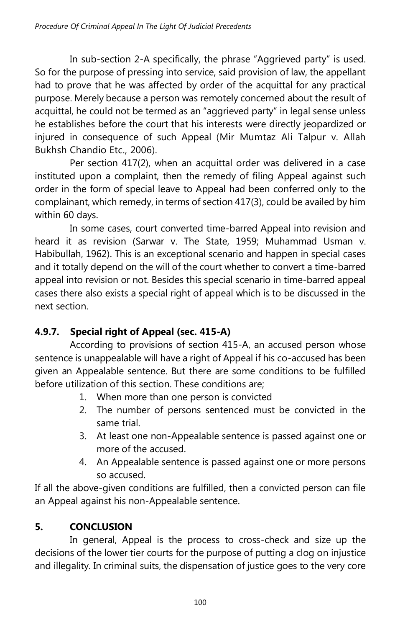In sub-section 2-A specifically, the phrase "Aggrieved party" is used. So for the purpose of pressing into service, said provision of law, the appellant had to prove that he was affected by order of the acquittal for any practical purpose. Merely because a person was remotely concerned about the result of acquittal, he could not be termed as an "aggrieved party" in legal sense unless he establishes before the court that his interests were directly jeopardized or injured in consequence of such Appeal (Mir Mumtaz Ali Talpur v. Allah Bukhsh Chandio Etc., 2006).

Per section 417(2), when an acquittal order was delivered in a case instituted upon a complaint, then the remedy of filing Appeal against such order in the form of special leave to Appeal had been conferred only to the complainant, which remedy, in terms of section 417(3), could be availed by him within 60 days.

In some cases, court converted time-barred Appeal into revision and heard it as revision (Sarwar v. The State, 1959; Muhammad Usman v. Habibullah, 1962). This is an exceptional scenario and happen in special cases and it totally depend on the will of the court whether to convert a time-barred appeal into revision or not. Besides this special scenario in time-barred appeal cases there also exists a special right of appeal which is to be discussed in the next section.

# **4.9.7. Special right of Appeal (sec. 415-A)**

According to provisions of section 415-A, an accused person whose sentence is unappealable will have a right of Appeal if his co-accused has been given an Appealable sentence. But there are some conditions to be fulfilled before utilization of this section. These conditions are;

- 1. When more than one person is convicted
- 2. The number of persons sentenced must be convicted in the same trial.
- 3. At least one non-Appealable sentence is passed against one or more of the accused.
- 4. An Appealable sentence is passed against one or more persons so accused.

If all the above-given conditions are fulfilled, then a convicted person can file an Appeal against his non-Appealable sentence.

# **5. CONCLUSION**

In general, Appeal is the process to cross-check and size up the decisions of the lower tier courts for the purpose of putting a clog on injustice and illegality. In criminal suits, the dispensation of justice goes to the very core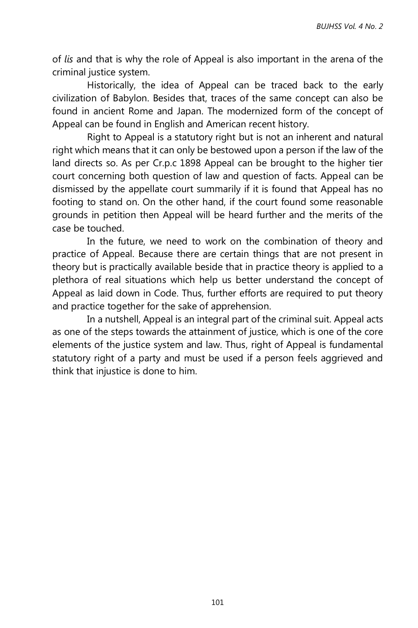of *lis* and that is why the role of Appeal is also important in the arena of the criminal justice system.

Historically, the idea of Appeal can be traced back to the early civilization of Babylon. Besides that, traces of the same concept can also be found in ancient Rome and Japan. The modernized form of the concept of Appeal can be found in English and American recent history.

Right to Appeal is a statutory right but is not an inherent and natural right which means that it can only be bestowed upon a person if the law of the land directs so. As per Cr.p.c 1898 Appeal can be brought to the higher tier court concerning both question of law and question of facts. Appeal can be dismissed by the appellate court summarily if it is found that Appeal has no footing to stand on. On the other hand, if the court found some reasonable grounds in petition then Appeal will be heard further and the merits of the case be touched.

In the future, we need to work on the combination of theory and practice of Appeal. Because there are certain things that are not present in theory but is practically available beside that in practice theory is applied to a plethora of real situations which help us better understand the concept of Appeal as laid down in Code. Thus, further efforts are required to put theory and practice together for the sake of apprehension.

In a nutshell, Appeal is an integral part of the criminal suit. Appeal acts as one of the steps towards the attainment of justice, which is one of the core elements of the justice system and law. Thus, right of Appeal is fundamental statutory right of a party and must be used if a person feels aggrieved and think that injustice is done to him.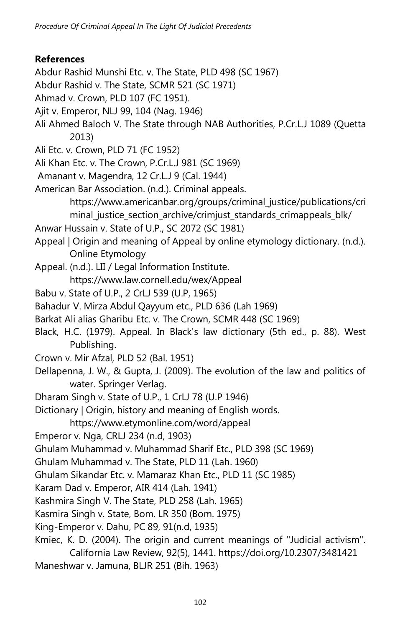## **References**

- Abdur Rashid Munshi Etc. v. The State, PLD 498 (SC 1967)
- Abdur Rashid v. The State, SCMR 521 (SC 1971)
- Ahmad v. Crown, PLD 107 (FC 1951).
- Ajit v. Emperor, NLJ 99, 104 (Nag. 1946)
- Ali Ahmed Baloch V. The State through NAB Authorities, P.Cr.L.J 1089 (Quetta 2013)
- Ali Etc. v. Crown, PLD 71 (FC 1952)
- Ali Khan Etc. v. The Crown, P.Cr.L.J 981 (SC 1969)
- Amanant v. Magendra, 12 Cr.L.J 9 (Cal. 1944)
- American Bar Association. (n.d.). Criminal appeals. https://www.americanbar.org/groups/criminal\_justice/publications/cri
	- minal\_justice\_section\_archive/crimjust\_standards\_crimappeals\_blk/
- Anwar Hussain v. State of U.P., SC 2072 (SC 1981)
- Appeal | Origin and meaning of Appeal by online etymology dictionary. (n.d.). Online Etymology
- Appeal. (n.d.). LII / Legal Information Institute. https://www.law.cornell.edu/wex/Appeal
- Babu v. State of U.P., 2 CrLJ 539 (U.P, 1965)
- Bahadur V. Mirza Abdul Qayyum etc., PLD 636 (Lah 1969)
- Barkat Ali alias Gharibu Etc. v. The Crown, SCMR 448 (SC 1969)
- Black, H.C. (1979). Appeal. In Black's law dictionary (5th ed., p. 88). West Publishing.
- Crown v. Mir Afzal, PLD 52 (Bal. 1951)
- Dellapenna, J. W., & Gupta, J. (2009). The evolution of the law and politics of water. Springer Verlag.
- Dharam Singh v. State of U.P., 1 CrLJ 78 (U.P 1946)
- Dictionary | Origin, history and meaning of English words.
	- https://www.etymonline.com/word/appeal
- Emperor v. Nga, CRLJ 234 (n.d, 1903)
- Ghulam Muhammad v. Muhammad Sharif Etc., PLD 398 (SC 1969)
- Ghulam Muhammad v. The State, PLD 11 (Lah. 1960)
- Ghulam Sikandar Etc. v. Mamaraz Khan Etc., PLD 11 (SC 1985)
- Karam Dad v. Emperor, AIR 414 (Lah. 1941)
- Kashmira Singh V. The State, PLD 258 (Lah. 1965)
- Kasmira Singh v. State, Bom. LR 350 (Bom. 1975)
- King-Emperor v. Dahu, PC 89, 91(n.d, 1935)
- Kmiec, K. D. (2004). The origin and current meanings of "Judicial activism". California Law Review, 92(5), 1441. https://doi.org/10.2307/3481421
- Maneshwar v. Jamuna, BLJR 251 (Bih. 1963)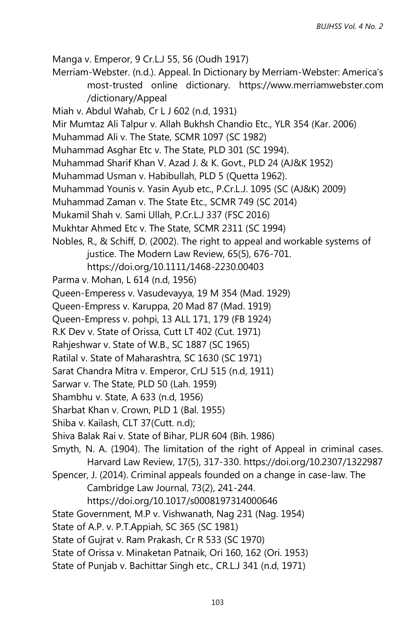Manga v. Emperor, 9 Cr.L.J 55, 56 (Oudh 1917)

Merriam-Webster. (n.d.). Appeal. In Dictionary by Merriam-Webster: America's most-trusted online dictionary. https://www.merriamwebster.com /dictionary/Appeal

Miah v. Abdul Wahab, Cr L J 602 (n.d, 1931)

Mir Mumtaz Ali Talpur v. Allah Bukhsh Chandio Etc., YLR 354 (Kar. 2006)

Muhammad Ali v. The State, SCMR 1097 (SC 1982)

Muhammad Asghar Etc v. The State, PLD 301 (SC 1994).

- Muhammad Sharif Khan V. Azad J. & K. Govt., PLD 24 (AJ&K 1952)
- Muhammad Usman v. Habibullah, PLD 5 (Quetta 1962).
- Muhammad Younis v. Yasin Ayub etc., P.Cr.L.J. 1095 (SC (AJ&K) 2009)
- Muhammad Zaman v. The State Etc., SCMR 749 (SC 2014)

Mukamil Shah v. Sami Ullah, P.Cr.L.J 337 (FSC 2016)

- Mukhtar Ahmed Etc v. The State, SCMR 2311 (SC 1994)
- Nobles, R., & Schiff, D. (2002). The right to appeal and workable systems of justice. The Modern Law Review, 65(5), 676-701.

https://doi.org/10.1111/1468-2230.00403

- Parma v. Mohan, L 614 (n.d, 1956)
- Queen-Emperess v. Vasudevayya, 19 M 354 (Mad. 1929)
- Queen-Empress v. Karuppa, 20 Mad 87 (Mad. 1919)
- Queen-Empress v. pohpi, 13 ALL 171, 179 (FB 1924)
- R.K Dev v. State of Orissa, Cutt LT 402 (Cut. 1971)
- Rahjeshwar v. State of W.B., SC 1887 (SC 1965)
- Ratilal v. State of Maharashtra, SC 1630 (SC 1971)
- Sarat Chandra Mitra v. Emperor, CrLJ 515 (n.d, 1911)
- Sarwar v. The State, PLD 50 (Lah. 1959)
- Shambhu v. State, A 633 (n.d, 1956)
- Sharbat Khan v. Crown, PLD 1 (Bal. 1955)
- Shiba v. Kailash, CLT 37(Cutt. n.d);
- Shiva Balak Rai v. State of Bihar, PLJR 604 (Bih. 1986)
- Smyth, N. A. (1904). The limitation of the right of Appeal in criminal cases. Harvard Law Review, 17(5), 317-330. https://doi.org/10.2307/1322987
- Spencer, J. (2014). Criminal appeals founded on a change in case-law. The Cambridge Law Journal, 73(2), 241-244.
	- https://doi.org/10.1017/s0008197314000646

State Government, M.P v. Vishwanath, Nag 231 (Nag. 1954)

- State of A.P. v. P.T.Appiah, SC 365 (SC 1981)
- State of Gujrat v. Ram Prakash, Cr R 533 (SC 1970)
- State of Orissa v. Minaketan Patnaik, Ori 160, 162 (Ori. 1953)
- State of Punjab v. Bachittar Singh etc., CR.L.J 341 (n.d, 1971)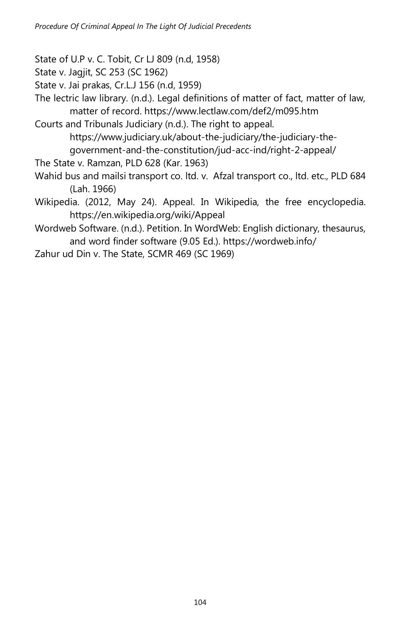State of U.P v. C. Tobit, Cr LJ 809 (n.d, 1958)

State v. Jagjit, SC 253 (SC 1962)

State v. Jai prakas, Cr.L.J 156 (n.d, 1959)

The lectric law library. (n.d.). Legal definitions of matter of fact, matter of law, matter of record. https://www.lectlaw.com/def2/m095.htm

Courts and Tribunals Judiciary (n.d.). The right to appeal. https://www.judiciary.uk/about-the-judiciary/the-judiciary-thegovernment-and-the-constitution/jud-acc-ind/right-2-appeal/

The State v. Ramzan, PLD 628 (Kar. 1963)

- Wahid bus and mailsi transport co. ltd. v. Afzal transport co., ltd. etc., PLD 684 (Lah. 1966)
- Wikipedia. (2012, May 24). Appeal. In Wikipedia, the free encyclopedia. https://en.wikipedia.org/wiki/Appeal

Wordweb Software. (n.d.). Petition. In WordWeb: English dictionary, thesaurus, and word finder software (9.05 Ed.). https://wordweb.info/

Zahur ud Din v. The State, SCMR 469 (SC 1969)